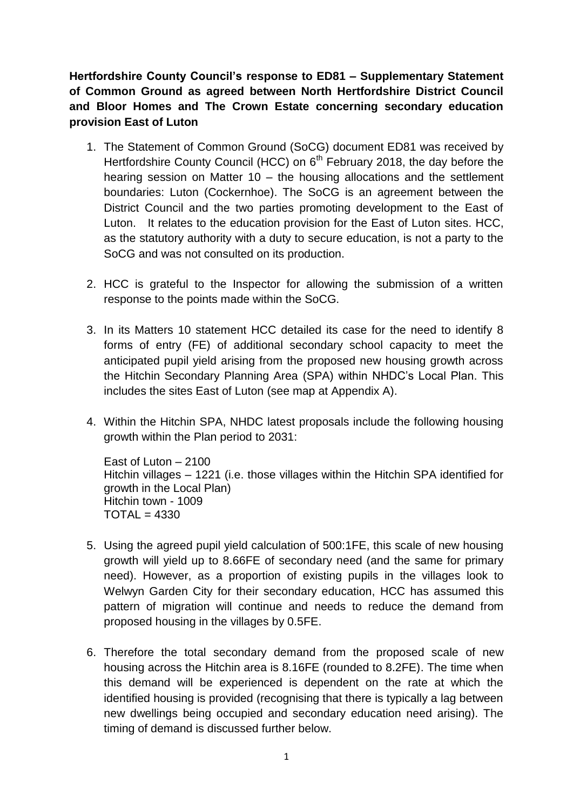**Hertfordshire County Council's response to ED81 – Supplementary Statement of Common Ground as agreed between North Hertfordshire District Council and Bloor Homes and The Crown Estate concerning secondary education provision East of Luton**

- 1. The Statement of Common Ground (SoCG) document ED81 was received by Hertfordshire County Council (HCC) on 6<sup>th</sup> February 2018, the day before the hearing session on Matter 10 – the housing allocations and the settlement boundaries: Luton (Cockernhoe). The SoCG is an agreement between the District Council and the two parties promoting development to the East of Luton. It relates to the education provision for the East of Luton sites. HCC, as the statutory authority with a duty to secure education, is not a party to the SoCG and was not consulted on its production.
- 2. HCC is grateful to the Inspector for allowing the submission of a written response to the points made within the SoCG.
- 3. In its Matters 10 statement HCC detailed its case for the need to identify 8 forms of entry (FE) of additional secondary school capacity to meet the anticipated pupil yield arising from the proposed new housing growth across the Hitchin Secondary Planning Area (SPA) within NHDC's Local Plan. This includes the sites East of Luton (see map at Appendix A).
- 4. Within the Hitchin SPA, NHDC latest proposals include the following housing growth within the Plan period to 2031:

```
East of Luton – 2100
Hitchin villages – 1221 (i.e. those villages within the Hitchin SPA identified for 
growth in the Local Plan)
Hitchin town - 1009
TOTAL = 4330
```
- 5. Using the agreed pupil yield calculation of 500:1FE, this scale of new housing growth will yield up to 8.66FE of secondary need (and the same for primary need). However, as a proportion of existing pupils in the villages look to Welwyn Garden City for their secondary education, HCC has assumed this pattern of migration will continue and needs to reduce the demand from proposed housing in the villages by 0.5FE.
- 6. Therefore the total secondary demand from the proposed scale of new housing across the Hitchin area is 8.16FE (rounded to 8.2FE). The time when this demand will be experienced is dependent on the rate at which the identified housing is provided (recognising that there is typically a lag between new dwellings being occupied and secondary education need arising). The timing of demand is discussed further below.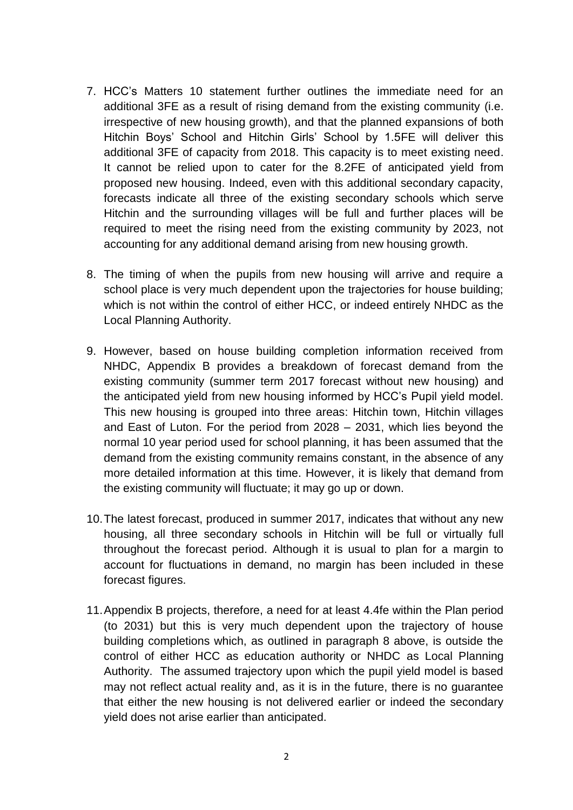- 7. HCC's Matters 10 statement further outlines the immediate need for an additional 3FE as a result of rising demand from the existing community (i.e. irrespective of new housing growth), and that the planned expansions of both Hitchin Boys' School and Hitchin Girls' School by 1.5FE will deliver this additional 3FE of capacity from 2018. This capacity is to meet existing need. It cannot be relied upon to cater for the 8.2FE of anticipated yield from proposed new housing. Indeed, even with this additional secondary capacity, forecasts indicate all three of the existing secondary schools which serve Hitchin and the surrounding villages will be full and further places will be required to meet the rising need from the existing community by 2023, not accounting for any additional demand arising from new housing growth.
- 8. The timing of when the pupils from new housing will arrive and require a school place is very much dependent upon the trajectories for house building; which is not within the control of either HCC, or indeed entirely NHDC as the Local Planning Authority.
- 9. However, based on house building completion information received from NHDC, Appendix B provides a breakdown of forecast demand from the existing community (summer term 2017 forecast without new housing) and the anticipated yield from new housing informed by HCC's Pupil yield model. This new housing is grouped into three areas: Hitchin town, Hitchin villages and East of Luton. For the period from 2028 – 2031, which lies beyond the normal 10 year period used for school planning, it has been assumed that the demand from the existing community remains constant, in the absence of any more detailed information at this time. However, it is likely that demand from the existing community will fluctuate; it may go up or down.
- 10.The latest forecast, produced in summer 2017, indicates that without any new housing, all three secondary schools in Hitchin will be full or virtually full throughout the forecast period. Although it is usual to plan for a margin to account for fluctuations in demand, no margin has been included in these forecast figures.
- 11.Appendix B projects, therefore, a need for at least 4.4fe within the Plan period (to 2031) but this is very much dependent upon the trajectory of house building completions which, as outlined in paragraph 8 above, is outside the control of either HCC as education authority or NHDC as Local Planning Authority. The assumed trajectory upon which the pupil yield model is based may not reflect actual reality and, as it is in the future, there is no guarantee that either the new housing is not delivered earlier or indeed the secondary yield does not arise earlier than anticipated.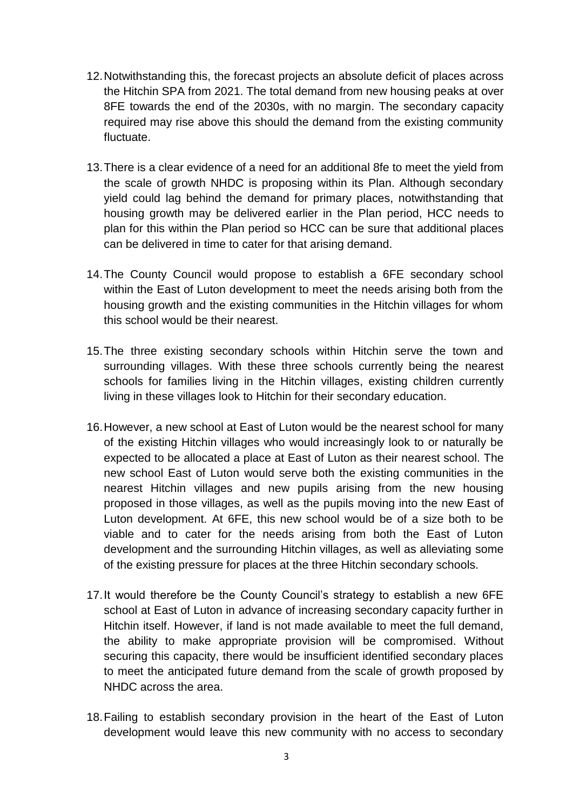- 12.Notwithstanding this, the forecast projects an absolute deficit of places across the Hitchin SPA from 2021. The total demand from new housing peaks at over 8FE towards the end of the 2030s, with no margin. The secondary capacity required may rise above this should the demand from the existing community fluctuate.
- 13.There is a clear evidence of a need for an additional 8fe to meet the yield from the scale of growth NHDC is proposing within its Plan. Although secondary yield could lag behind the demand for primary places, notwithstanding that housing growth may be delivered earlier in the Plan period, HCC needs to plan for this within the Plan period so HCC can be sure that additional places can be delivered in time to cater for that arising demand.
- 14.The County Council would propose to establish a 6FE secondary school within the East of Luton development to meet the needs arising both from the housing growth and the existing communities in the Hitchin villages for whom this school would be their nearest.
- 15.The three existing secondary schools within Hitchin serve the town and surrounding villages. With these three schools currently being the nearest schools for families living in the Hitchin villages, existing children currently living in these villages look to Hitchin for their secondary education.
- 16.However, a new school at East of Luton would be the nearest school for many of the existing Hitchin villages who would increasingly look to or naturally be expected to be allocated a place at East of Luton as their nearest school. The new school East of Luton would serve both the existing communities in the nearest Hitchin villages and new pupils arising from the new housing proposed in those villages, as well as the pupils moving into the new East of Luton development. At 6FE, this new school would be of a size both to be viable and to cater for the needs arising from both the East of Luton development and the surrounding Hitchin villages, as well as alleviating some of the existing pressure for places at the three Hitchin secondary schools.
- 17.It would therefore be the County Council's strategy to establish a new 6FE school at East of Luton in advance of increasing secondary capacity further in Hitchin itself. However, if land is not made available to meet the full demand, the ability to make appropriate provision will be compromised. Without securing this capacity, there would be insufficient identified secondary places to meet the anticipated future demand from the scale of growth proposed by NHDC across the area.
- 18.Failing to establish secondary provision in the heart of the East of Luton development would leave this new community with no access to secondary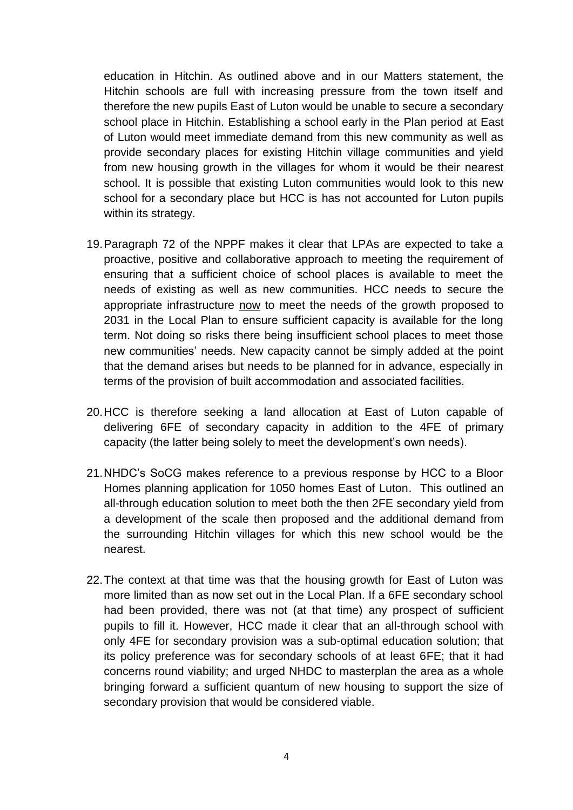education in Hitchin. As outlined above and in our Matters statement, the Hitchin schools are full with increasing pressure from the town itself and therefore the new pupils East of Luton would be unable to secure a secondary school place in Hitchin. Establishing a school early in the Plan period at East of Luton would meet immediate demand from this new community as well as provide secondary places for existing Hitchin village communities and yield from new housing growth in the villages for whom it would be their nearest school. It is possible that existing Luton communities would look to this new school for a secondary place but HCC is has not accounted for Luton pupils within its strategy.

- 19.Paragraph 72 of the NPPF makes it clear that LPAs are expected to take a proactive, positive and collaborative approach to meeting the requirement of ensuring that a sufficient choice of school places is available to meet the needs of existing as well as new communities. HCC needs to secure the appropriate infrastructure now to meet the needs of the growth proposed to 2031 in the Local Plan to ensure sufficient capacity is available for the long term. Not doing so risks there being insufficient school places to meet those new communities' needs. New capacity cannot be simply added at the point that the demand arises but needs to be planned for in advance, especially in terms of the provision of built accommodation and associated facilities.
- 20.HCC is therefore seeking a land allocation at East of Luton capable of delivering 6FE of secondary capacity in addition to the 4FE of primary capacity (the latter being solely to meet the development's own needs).
- 21.NHDC's SoCG makes reference to a previous response by HCC to a Bloor Homes planning application for 1050 homes East of Luton. This outlined an all-through education solution to meet both the then 2FE secondary yield from a development of the scale then proposed and the additional demand from the surrounding Hitchin villages for which this new school would be the nearest.
- 22.The context at that time was that the housing growth for East of Luton was more limited than as now set out in the Local Plan. If a 6FE secondary school had been provided, there was not (at that time) any prospect of sufficient pupils to fill it. However, HCC made it clear that an all-through school with only 4FE for secondary provision was a sub-optimal education solution; that its policy preference was for secondary schools of at least 6FE; that it had concerns round viability; and urged NHDC to masterplan the area as a whole bringing forward a sufficient quantum of new housing to support the size of secondary provision that would be considered viable.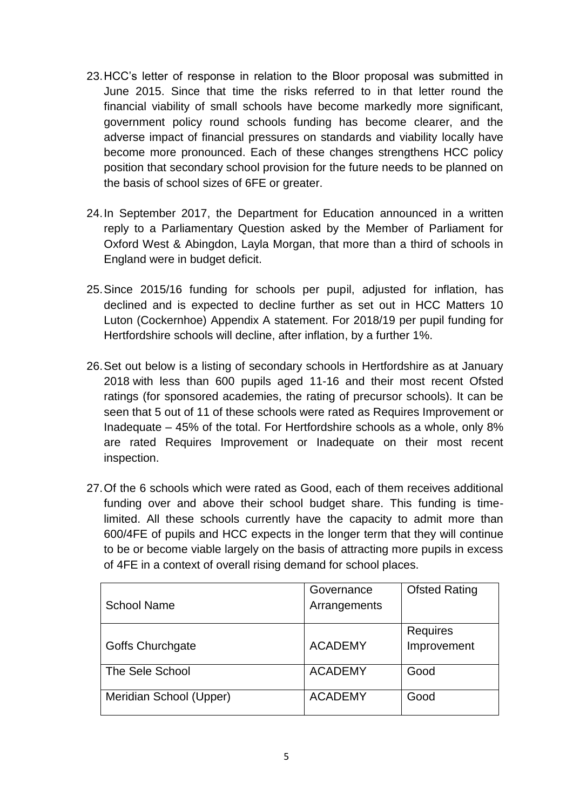- 23.HCC's letter of response in relation to the Bloor proposal was submitted in June 2015. Since that time the risks referred to in that letter round the financial viability of small schools have become markedly more significant, government policy round schools funding has become clearer, and the adverse impact of financial pressures on standards and viability locally have become more pronounced. Each of these changes strengthens HCC policy position that secondary school provision for the future needs to be planned on the basis of school sizes of 6FE or greater.
- 24.In September 2017, the Department for Education announced in a written reply to a Parliamentary Question asked by the Member of Parliament for Oxford West & Abingdon, Layla Morgan, that more than a third of schools in England were in budget deficit.
- 25.Since 2015/16 funding for schools per pupil, adjusted for inflation, has declined and is expected to decline further as set out in HCC Matters 10 Luton (Cockernhoe) Appendix A statement. For 2018/19 per pupil funding for Hertfordshire schools will decline, after inflation, by a further 1%.
- 26.Set out below is a listing of secondary schools in Hertfordshire as at January 2018 with less than 600 pupils aged 11-16 and their most recent Ofsted ratings (for sponsored academies, the rating of precursor schools). It can be seen that 5 out of 11 of these schools were rated as Requires Improvement or Inadequate – 45% of the total. For Hertfordshire schools as a whole, only 8% are rated Requires Improvement or Inadequate on their most recent inspection.
- 27.Of the 6 schools which were rated as Good, each of them receives additional funding over and above their school budget share. This funding is timelimited. All these schools currently have the capacity to admit more than 600/4FE of pupils and HCC expects in the longer term that they will continue to be or become viable largely on the basis of attracting more pupils in excess of 4FE in a context of overall rising demand for school places.

|                         | Governance     | <b>Ofsted Rating</b> |
|-------------------------|----------------|----------------------|
| <b>School Name</b>      | Arrangements   |                      |
|                         |                | Requires             |
| <b>Goffs Churchgate</b> | <b>ACADEMY</b> | Improvement          |
| The Sele School         | <b>ACADEMY</b> | Good                 |
| Meridian School (Upper) | <b>ACADEMY</b> | Good                 |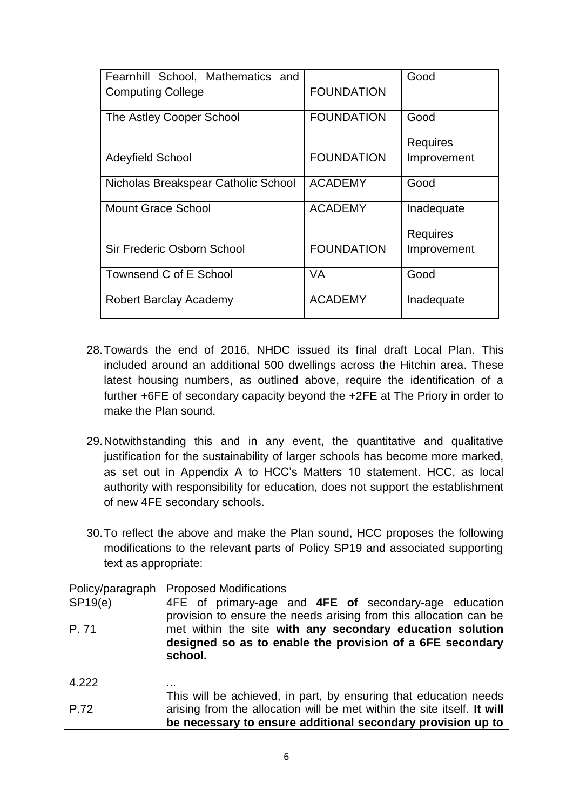| Fearnhill School, Mathematics and<br><b>Computing College</b> | <b>FOUNDATION</b> | Good                           |
|---------------------------------------------------------------|-------------------|--------------------------------|
| The Astley Cooper School                                      | <b>FOUNDATION</b> | Good                           |
| <b>Adeyfield School</b>                                       | <b>FOUNDATION</b> | <b>Requires</b><br>Improvement |
| Nicholas Breakspear Catholic School                           | <b>ACADEMY</b>    | Good                           |
| <b>Mount Grace School</b>                                     | <b>ACADEMY</b>    | Inadequate                     |
| Sir Frederic Osborn School                                    | <b>FOUNDATION</b> | <b>Requires</b><br>Improvement |
| Townsend C of E School                                        | <b>VA</b>         | Good                           |
| Robert Barclay Academy                                        | <b>ACADEMY</b>    | Inadequate                     |

- 28.Towards the end of 2016, NHDC issued its final draft Local Plan. This included around an additional 500 dwellings across the Hitchin area. These latest housing numbers, as outlined above, require the identification of a further +6FE of secondary capacity beyond the +2FE at The Priory in order to make the Plan sound.
- 29.Notwithstanding this and in any event, the quantitative and qualitative justification for the sustainability of larger schools has become more marked, as set out in Appendix A to HCC's Matters 10 statement. HCC, as local authority with responsibility for education, does not support the establishment of new 4FE secondary schools.
- 30.To reflect the above and make the Plan sound, HCC proposes the following modifications to the relevant parts of Policy SP19 and associated supporting text as appropriate:

|         | Policy/paragraph   Proposed Modifications                               |  |  |
|---------|-------------------------------------------------------------------------|--|--|
| SP19(e) | 4FE of primary-age and 4FE of secondary-age education                   |  |  |
|         | provision to ensure the needs arising from this allocation can be       |  |  |
| P.71    | met within the site with any secondary education solution               |  |  |
|         | designed so as to enable the provision of a 6FE secondary               |  |  |
|         | school.                                                                 |  |  |
|         |                                                                         |  |  |
| 4.222   |                                                                         |  |  |
|         | This will be achieved, in part, by ensuring that education needs        |  |  |
| P.72    | arising from the allocation will be met within the site itself. It will |  |  |
|         | be necessary to ensure additional secondary provision up to             |  |  |